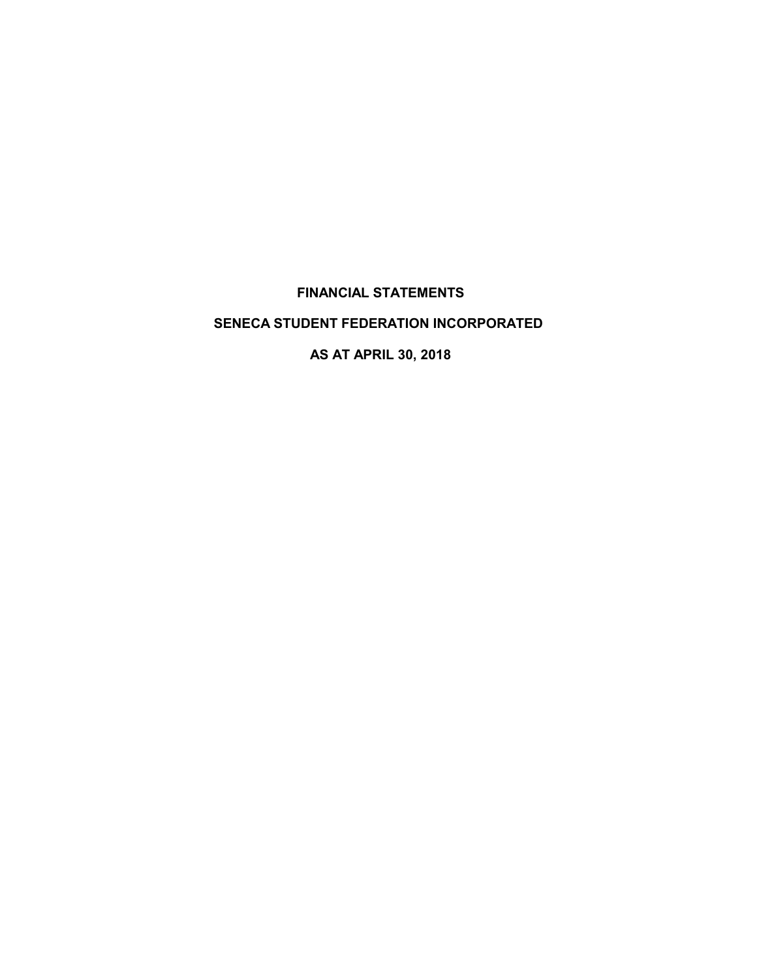# **FINANCIAL STATEMENTS**

# **SENECA STUDENT FEDERATION INCORPORATED**

**AS AT APRIL 30, 2018**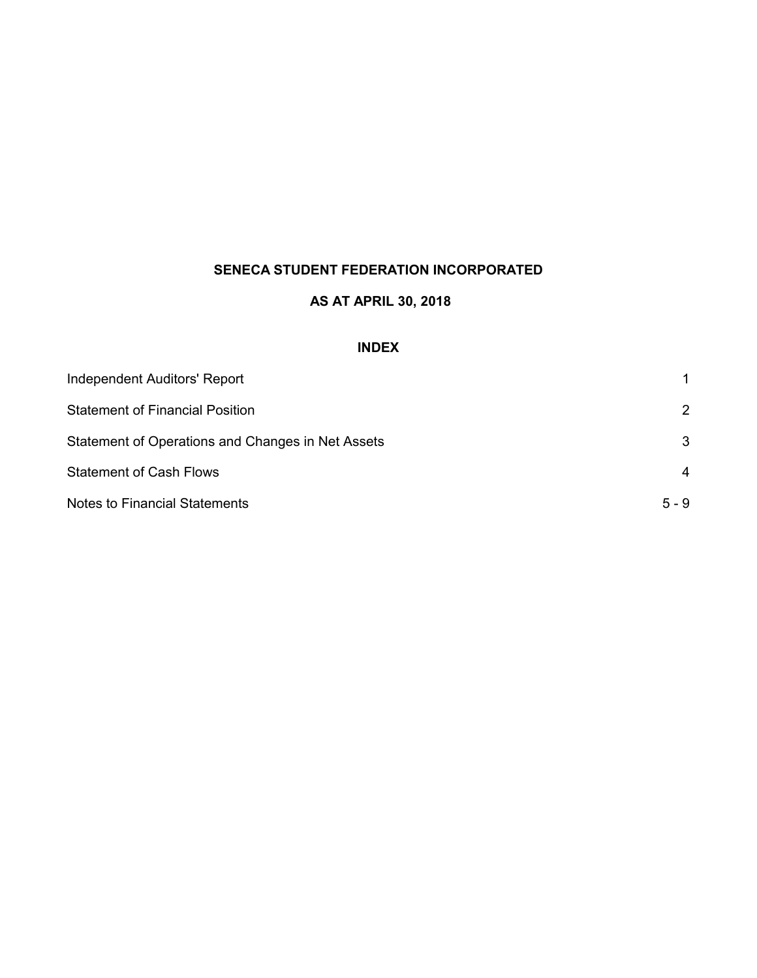# **AS AT APRIL 30, 2018**

# **INDEX**

| Independent Auditors' Report                      |         |
|---------------------------------------------------|---------|
| <b>Statement of Financial Position</b>            | 2       |
| Statement of Operations and Changes in Net Assets | 3       |
| <b>Statement of Cash Flows</b>                    | 4       |
| <b>Notes to Financial Statements</b>              | $5 - 9$ |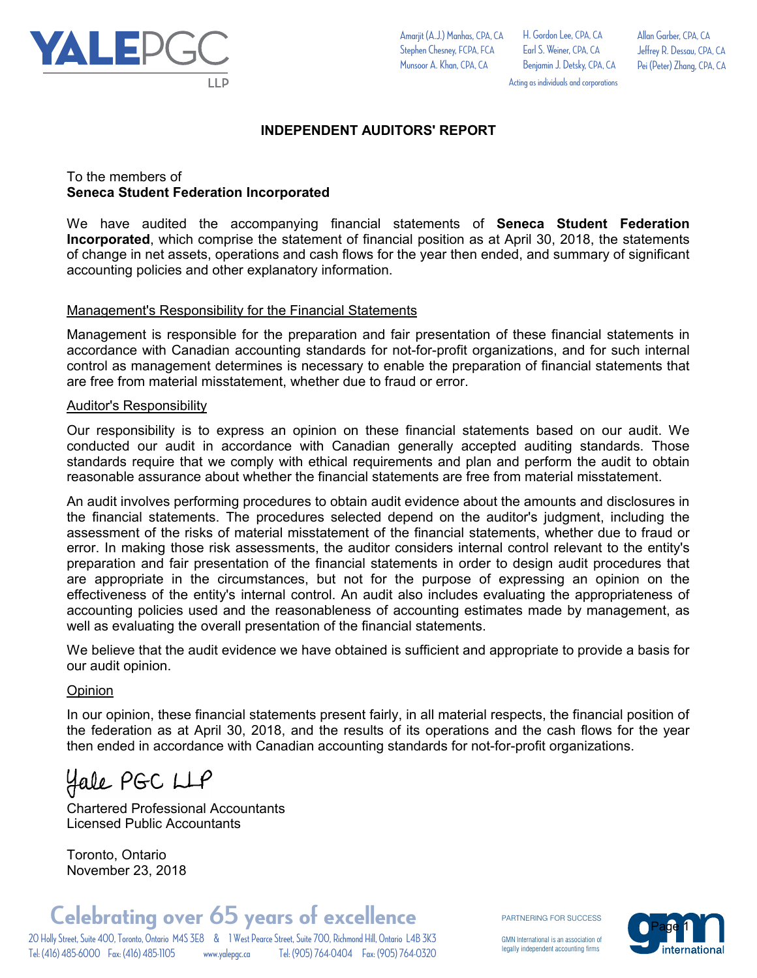

Allan Garber, CPA, CA

Acting as individuals and corporations

Jeffrey R. Dessau, CPA, CA Pei (Peter) Zhang, CPA, CA

# **INDEPENDENT AUDITORS' REPORT**

# To the members of **Seneca Student Federation Incorporated**

We have audited the accompanying financial statements of **Seneca Student Federation Incorporated**, which comprise the statement of financial position as at April 30, 2018, the statements of change in net assets, operations and cash flows for the year then ended, and summary of significant accounting policies and other explanatory information.

# Management's Responsibility for the Financial Statements

Management is responsible for the preparation and fair presentation of these financial statements in accordance with Canadian accounting standards for not-for-profit organizations, and for such internal control as management determines is necessary to enable the preparation of financial statements that are free from material misstatement, whether due to fraud or error.

# Auditor's Responsibility

Our responsibility is to express an opinion on these financial statements based on our audit. We conducted our audit in accordance with Canadian generally accepted auditing standards. Those standards require that we comply with ethical requirements and plan and perform the audit to obtain reasonable assurance about whether the financial statements are free from material misstatement.

An audit involves performing procedures to obtain audit evidence about the amounts and disclosures in the financial statements. The procedures selected depend on the auditor's judgment, including the assessment of the risks of material misstatement of the financial statements, whether due to fraud or error. In making those risk assessments, the auditor considers internal control relevant to the entity's preparation and fair presentation of the financial statements in order to design audit procedures that are appropriate in the circumstances, but not for the purpose of expressing an opinion on the effectiveness of the entity's internal control. An audit also includes evaluating the appropriateness of accounting policies used and the reasonableness of accounting estimates made by management, as well as evaluating the overall presentation of the financial statements.

We believe that the audit evidence we have obtained is sufficient and appropriate to provide a basis for our audit opinion.

# **Opinion**

In our opinion, these financial statements present fairly, in all material respects, the financial position of the federation as at April 30, 2018, and the results of its operations and the cash flows for the year then ended in accordance with Canadian accounting standards for not-for-profit organizations.

Hale PGC LLP

Chartered Professional Accountants Licensed Public Accountants

Toronto, Ontario November 23, 2018

PARTNERING FOR SUCCESS

GMN International is an association of legally independent accounting firms

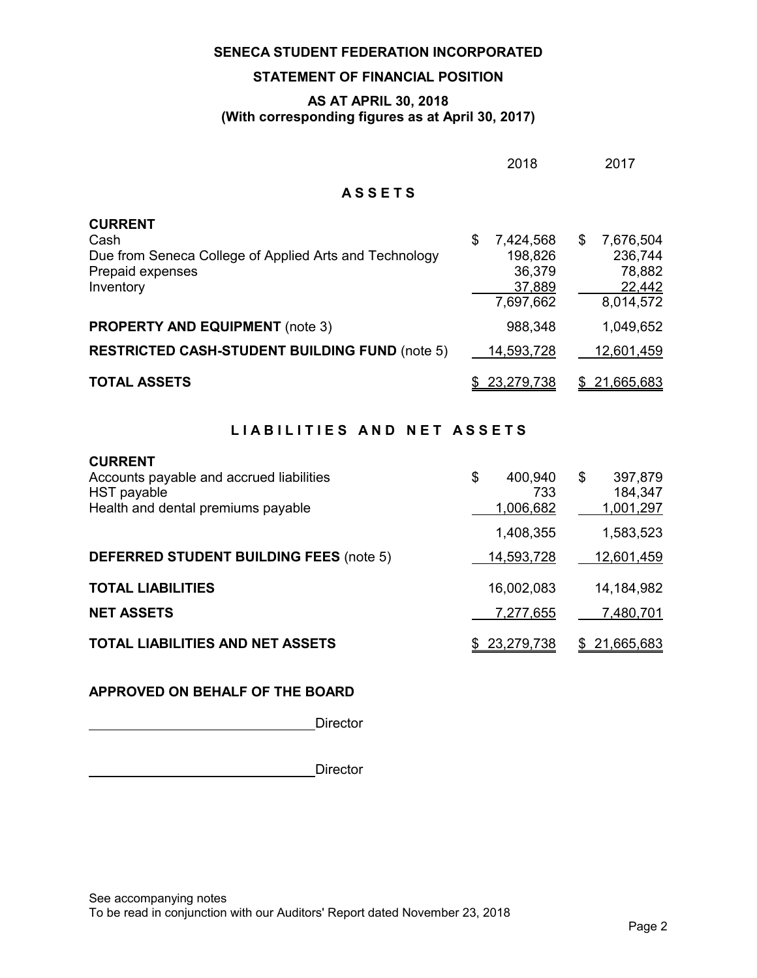# **STATEMENT OF FINANCIAL POSITION**

# **AS AT APRIL 30, 2018 (With corresponding figures as at April 30, 2017)**

|                                                                                                                   | 2018                                                        |    | 2017                                                  |
|-------------------------------------------------------------------------------------------------------------------|-------------------------------------------------------------|----|-------------------------------------------------------|
| <b>ASSETS</b>                                                                                                     |                                                             |    |                                                       |
| <b>CURRENT</b><br>Cash<br>Due from Seneca College of Applied Arts and Technology<br>Prepaid expenses<br>Inventory | \$<br>7,424,568<br>198,826<br>36,379<br>37,889<br>7,697,662 | \$ | 7,676,504<br>236,744<br>78,882<br>22,442<br>8,014,572 |
| <b>PROPERTY AND EQUIPMENT</b> (note 3)<br><b>RESTRICTED CASH-STUDENT BUILDING FUND (note 5)</b>                   | 988,348<br>14,593,728                                       |    | 1,049,652<br>12,601,459                               |
| <b>TOTAL ASSETS</b>                                                                                               | 23,279,738                                                  | S  | 21,665,683                                            |

# LIABILITIES AND NET ASSETS

| <b>CURRENT</b><br>Accounts payable and accrued liabilities<br>HST payable<br>Health and dental premiums payable | \$<br>400,940<br>733<br>1,006,682 | \$<br>397,879<br>184,347<br>1,001,297 |
|-----------------------------------------------------------------------------------------------------------------|-----------------------------------|---------------------------------------|
|                                                                                                                 | 1,408,355                         | 1,583,523                             |
| <b>DEFERRED STUDENT BUILDING FEES (note 5)</b>                                                                  | 14,593,728                        | 12,601,459                            |
| <b>TOTAL LIABILITIES</b>                                                                                        | 16,002,083                        | 14,184,982                            |
| <b>NET ASSETS</b>                                                                                               | 7,277,655                         | 7,480,701                             |
| TOTAL LIABILITIES AND NET ASSETS                                                                                | \$23,279,738                      | \$21,665,683                          |

# **APPROVED ON BEHALF OF THE BOARD**

**Director** 

**Director** Director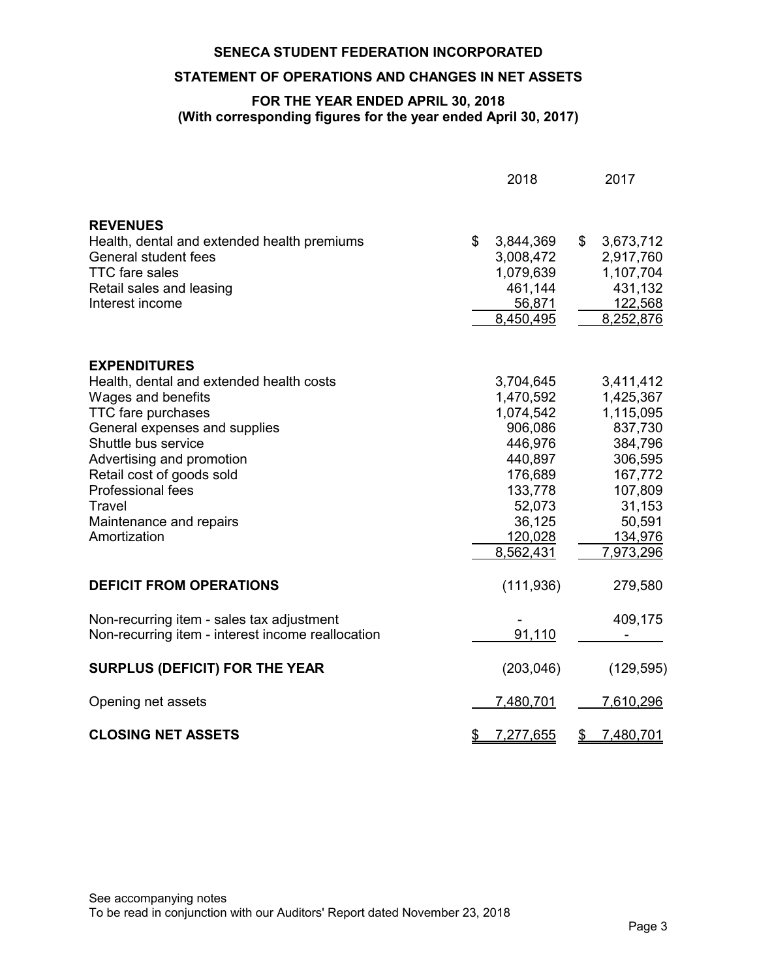# **STATEMENT OF OPERATIONS AND CHANGES IN NET ASSETS**

# **FOR THE YEAR ENDED APRIL 30, 2018 (With corresponding figures for the year ended April 30, 2017)**

|                                                                                                                                                                                                                                                                                                                | 2018                                                                                                                                   |               | 2017                                                                                                                                   |
|----------------------------------------------------------------------------------------------------------------------------------------------------------------------------------------------------------------------------------------------------------------------------------------------------------------|----------------------------------------------------------------------------------------------------------------------------------------|---------------|----------------------------------------------------------------------------------------------------------------------------------------|
| <b>REVENUES</b><br>Health, dental and extended health premiums<br><b>General student fees</b><br><b>TTC</b> fare sales<br>Retail sales and leasing<br>Interest income                                                                                                                                          | \$<br>3,844,369<br>3,008,472<br>1,079,639<br>461,144<br>56,871<br>8,450,495                                                            | $\frac{1}{2}$ | 3,673,712<br>2,917,760<br>1,107,704<br>431,132<br>122,568<br>8,252,876                                                                 |
| <b>EXPENDITURES</b><br>Health, dental and extended health costs<br>Wages and benefits<br><b>TTC fare purchases</b><br>General expenses and supplies<br>Shuttle bus service<br>Advertising and promotion<br>Retail cost of goods sold<br>Professional fees<br>Travel<br>Maintenance and repairs<br>Amortization | 3,704,645<br>1,470,592<br>1,074,542<br>906,086<br>446,976<br>440,897<br>176,689<br>133,778<br>52,073<br>36,125<br>120,028<br>8,562,431 |               | 3,411,412<br>1,425,367<br>1,115,095<br>837,730<br>384,796<br>306,595<br>167,772<br>107,809<br>31,153<br>50,591<br>134,976<br>7,973,296 |
| <b>DEFICIT FROM OPERATIONS</b>                                                                                                                                                                                                                                                                                 | (111, 936)                                                                                                                             |               | 279,580                                                                                                                                |
| Non-recurring item - sales tax adjustment<br>Non-recurring item - interest income reallocation                                                                                                                                                                                                                 | 91,110                                                                                                                                 |               | 409,175                                                                                                                                |
| <b>SURPLUS (DEFICIT) FOR THE YEAR</b>                                                                                                                                                                                                                                                                          | (203, 046)                                                                                                                             |               | (129, 595)                                                                                                                             |
| Opening net assets                                                                                                                                                                                                                                                                                             | 7,480,701                                                                                                                              |               | 7,610,296                                                                                                                              |
| <b>CLOSING NET ASSETS</b>                                                                                                                                                                                                                                                                                      | \$<br>7,277,655                                                                                                                        | \$            | 7,480,701                                                                                                                              |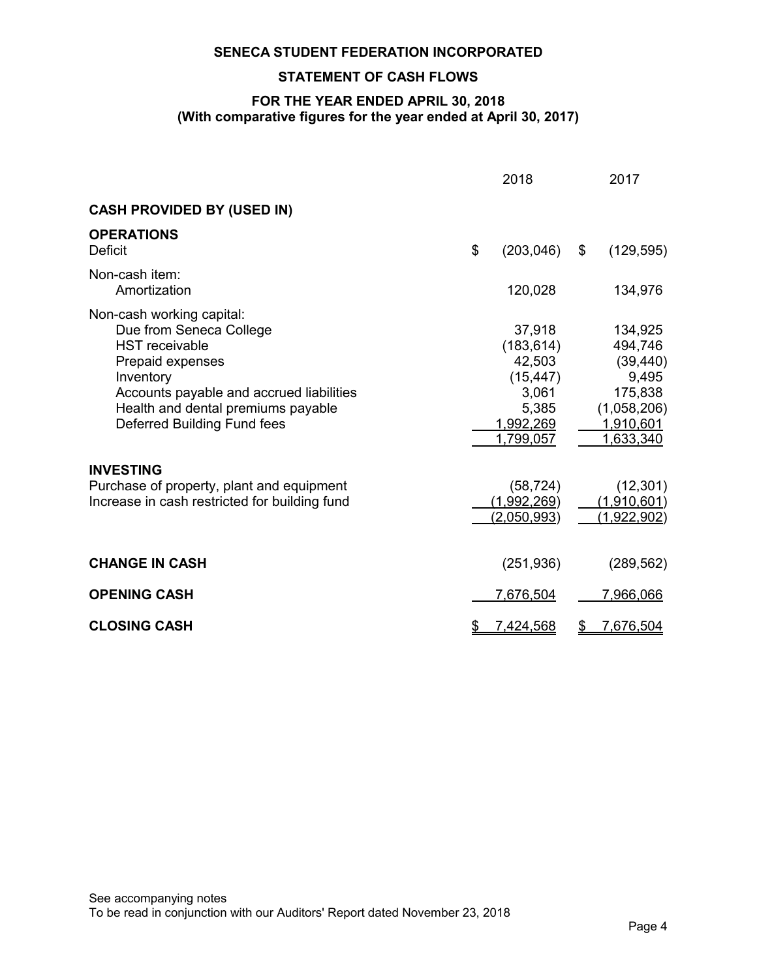# **STATEMENT OF CASH FLOWS**

# **FOR THE YEAR ENDED APRIL 30, 2018 (With comparative figures for the year ended at April 30, 2017)**

|                                                                                                                                                                                                                                        | 2018                                                                                    | 2017                                                                                                |
|----------------------------------------------------------------------------------------------------------------------------------------------------------------------------------------------------------------------------------------|-----------------------------------------------------------------------------------------|-----------------------------------------------------------------------------------------------------|
| <b>CASH PROVIDED BY (USED IN)</b>                                                                                                                                                                                                      |                                                                                         |                                                                                                     |
| <b>OPERATIONS</b><br><b>Deficit</b>                                                                                                                                                                                                    | \$<br>(203, 046)                                                                        | \$<br>(129, 595)                                                                                    |
| Non-cash item:<br>Amortization                                                                                                                                                                                                         | 120,028                                                                                 | 134,976                                                                                             |
| Non-cash working capital:<br>Due from Seneca College<br><b>HST</b> receivable<br>Prepaid expenses<br>Inventory<br>Accounts payable and accrued liabilities<br>Health and dental premiums payable<br><b>Deferred Building Fund fees</b> | 37,918<br>(183, 614)<br>42,503<br>(15, 447)<br>3,061<br>5,385<br>1,992,269<br>1,799,057 | 134,925<br>494,746<br>(39, 440)<br>9,495<br>175,838<br>(1,058,206)<br><u>1,910,601</u><br>1,633,340 |
| <b>INVESTING</b><br>Purchase of property, plant and equipment<br>Increase in cash restricted for building fund                                                                                                                         | (58, 724)<br>(1,992,269)<br><u>(2,050,993)</u>                                          | (12, 301)<br>(1,910,601)<br>(1,922,902)                                                             |
| <b>CHANGE IN CASH</b>                                                                                                                                                                                                                  | (251, 936)                                                                              | (289, 562)                                                                                          |
| <b>OPENING CASH</b>                                                                                                                                                                                                                    | 7,676,504                                                                               | 7,966,066                                                                                           |
| <b>CLOSING CASH</b>                                                                                                                                                                                                                    | 7,424,568                                                                               | <u>7,676,504</u>                                                                                    |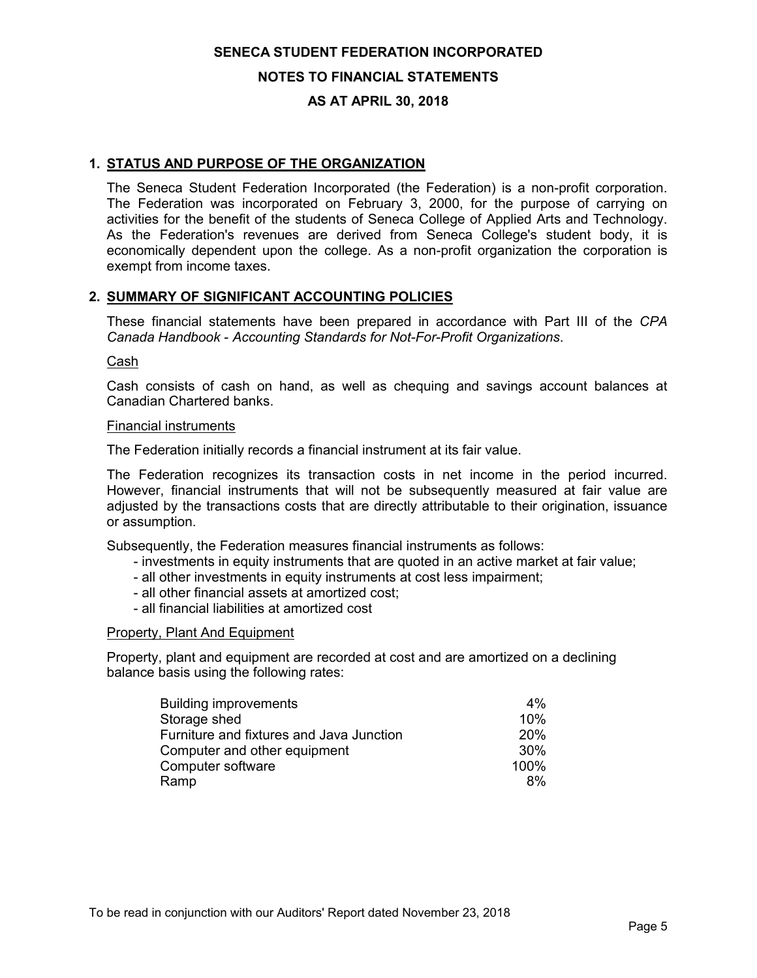# **NOTES TO FINANCIAL STATEMENTS**

# **AS AT APRIL 30, 2018**

# **1. STATUS AND PURPOSE OF THE ORGANIZATION**

The Seneca Student Federation Incorporated (the Federation) is a non-profit corporation. The Federation was incorporated on February 3, 2000, for the purpose of carrying on activities for the benefit of the students of Seneca College of Applied Arts and Technology. As the Federation's revenues are derived from Seneca College's student body, it is economically dependent upon the college. As a non-profit organization the corporation is exempt from income taxes.

# **2. SUMMARY OF SIGNIFICANT ACCOUNTING POLICIES**

These financial statements have been prepared in accordance with Part III of the *CPA Canada Handbook* - *Accounting Standards for Not-For-Profit Organizations*.

### Cash

Cash consists of cash on hand, as well as chequing and savings account balances at Canadian Chartered banks.

#### Financial instruments

The Federation initially records a financial instrument at its fair value.

The Federation recognizes its transaction costs in net income in the period incurred. However, financial instruments that will not be subsequently measured at fair value are adjusted by the transactions costs that are directly attributable to their origination, issuance or assumption.

Subsequently, the Federation measures financial instruments as follows:

- investments in equity instruments that are quoted in an active market at fair value;
- all other investments in equity instruments at cost less impairment;
- all other financial assets at amortized cost;
- all financial liabilities at amortized cost

#### Property, Plant And Equipment

Property, plant and equipment are recorded at cost and are amortized on a declining balance basis using the following rates:

| <b>Building improvements</b>             | 4%              |
|------------------------------------------|-----------------|
| Storage shed                             | 10%             |
| Furniture and fixtures and Java Junction | <b>20%</b>      |
| Computer and other equipment             | 30 <sup>%</sup> |
| Computer software                        | 100%            |
| Ramp                                     | 8%              |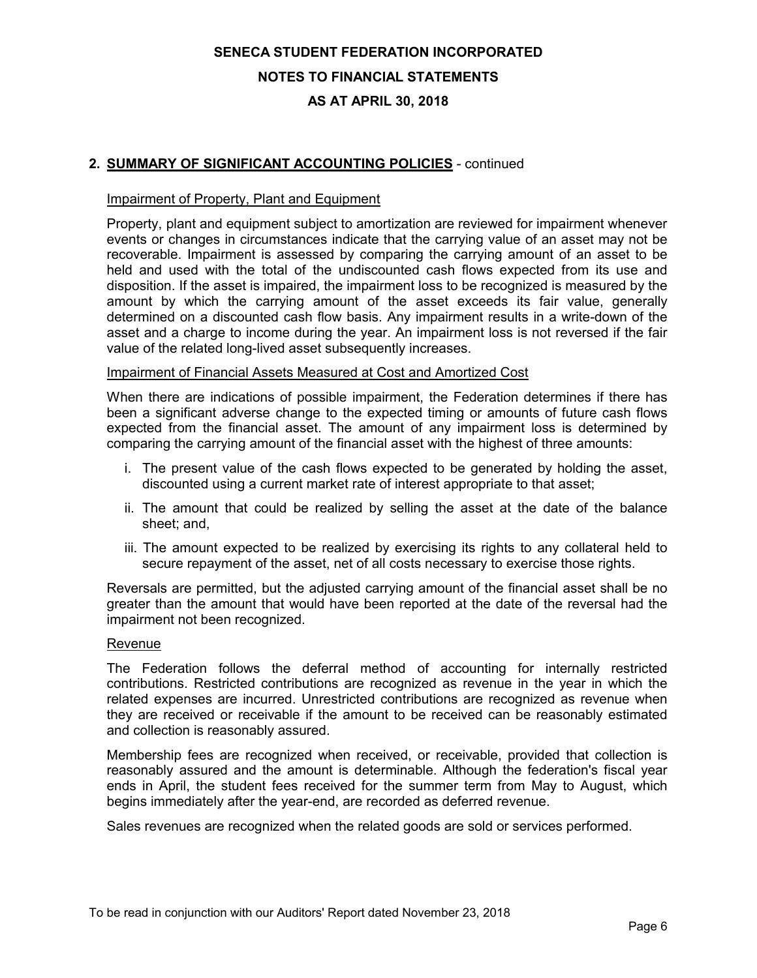# **NOTES TO FINANCIAL STATEMENTS**

# **AS AT APRIL 30, 2018**

# **2. SUMMARY OF SIGNIFICANT ACCOUNTING POLICIES** - continued

### Impairment of Property, Plant and Equipment

Property, plant and equipment subject to amortization are reviewed for impairment whenever events or changes in circumstances indicate that the carrying value of an asset may not be recoverable. Impairment is assessed by comparing the carrying amount of an asset to be held and used with the total of the undiscounted cash flows expected from its use and disposition. If the asset is impaired, the impairment loss to be recognized is measured by the amount by which the carrying amount of the asset exceeds its fair value, generally determined on a discounted cash flow basis. Any impairment results in a write-down of the asset and a charge to income during the year. An impairment loss is not reversed if the fair value of the related long-lived asset subsequently increases.

### Impairment of Financial Assets Measured at Cost and Amortized Cost

When there are indications of possible impairment, the Federation determines if there has been a significant adverse change to the expected timing or amounts of future cash flows expected from the financial asset. The amount of any impairment loss is determined by comparing the carrying amount of the financial asset with the highest of three amounts:

- i. The present value of the cash flows expected to be generated by holding the asset, discounted using a current market rate of interest appropriate to that asset;
- ii. The amount that could be realized by selling the asset at the date of the balance sheet; and,
- iii. The amount expected to be realized by exercising its rights to any collateral held to secure repayment of the asset, net of all costs necessary to exercise those rights.

Reversals are permitted, but the adjusted carrying amount of the financial asset shall be no greater than the amount that would have been reported at the date of the reversal had the impairment not been recognized.

#### Revenue

The Federation follows the deferral method of accounting for internally restricted contributions. Restricted contributions are recognized as revenue in the year in which the related expenses are incurred. Unrestricted contributions are recognized as revenue when they are received or receivable if the amount to be received can be reasonably estimated and collection is reasonably assured.

Membership fees are recognized when received, or receivable, provided that collection is reasonably assured and the amount is determinable. Although the federation's fiscal year ends in April, the student fees received for the summer term from May to August, which begins immediately after the year-end, are recorded as deferred revenue.

Sales revenues are recognized when the related goods are sold or services performed.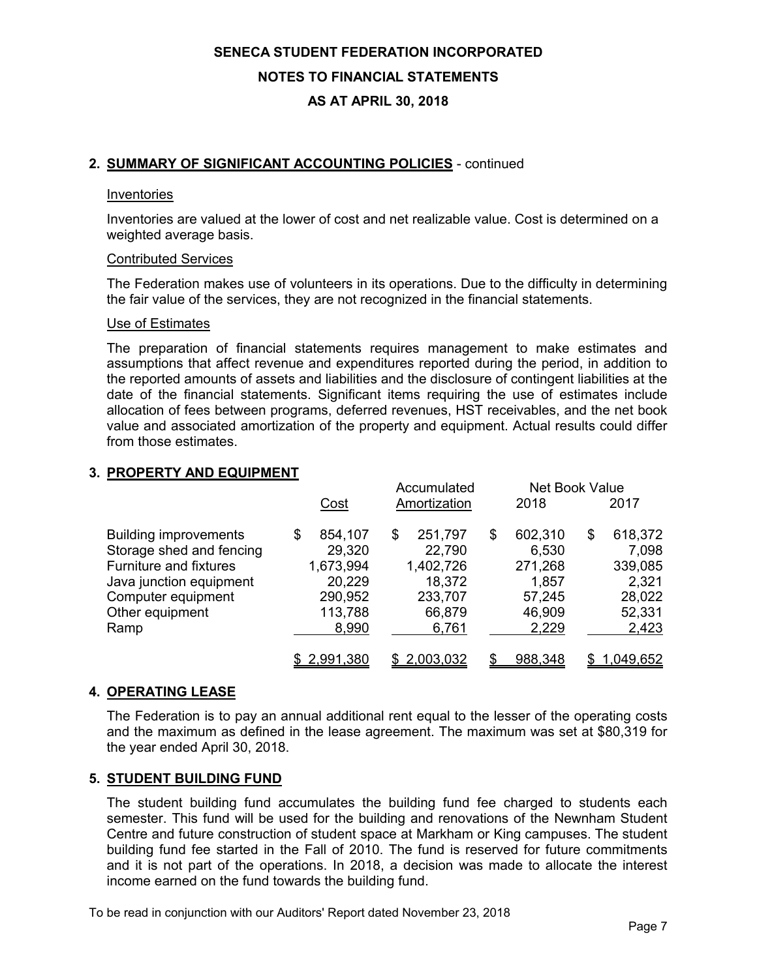# **SENECA STUDENT FEDERATION INCORPORATED NOTES TO FINANCIAL STATEMENTS**

# **AS AT APRIL 30, 2018**

# **2. SUMMARY OF SIGNIFICANT ACCOUNTING POLICIES** - continued

### Inventories

Inventories are valued at the lower of cost and net realizable value. Cost is determined on a weighted average basis.

### Contributed Services

The Federation makes use of volunteers in its operations. Due to the difficulty in determining the fair value of the services, they are not recognized in the financial statements.

#### Use of Estimates

The preparation of financial statements requires management to make estimates and assumptions that affect revenue and expenditures reported during the period, in addition to the reported amounts of assets and liabilities and the disclosure of contingent liabilities at the date of the financial statements. Significant items requiring the use of estimates include allocation of fees between programs, deferred revenues, HST receivables, and the net book value and associated amortization of the property and equipment. Actual results could differ from those estimates.

# **3. PROPERTY AND EQUIPMENT**

|                                                                                                                                                                       | <u>Cost</u>                                                                   | Accumulated<br>Amortization                                                 | 2018                                                                    | <b>Net Book Value</b><br>2017                                           |
|-----------------------------------------------------------------------------------------------------------------------------------------------------------------------|-------------------------------------------------------------------------------|-----------------------------------------------------------------------------|-------------------------------------------------------------------------|-------------------------------------------------------------------------|
| <b>Building improvements</b><br>Storage shed and fencing<br><b>Furniture and fixtures</b><br>Java junction equipment<br>Computer equipment<br>Other equipment<br>Ramp | 854,107<br>\$<br>29,320<br>1,673,994<br>20,229<br>290,952<br>113,788<br>8,990 | 251,797<br>S<br>22,790<br>1,402,726<br>18,372<br>233,707<br>66,879<br>6,761 | 602,310<br>\$<br>6,530<br>271,268<br>1,857<br>57,245<br>46,909<br>2,229 | 618,372<br>\$<br>7,098<br>339,085<br>2,321<br>28,022<br>52,331<br>2,423 |
|                                                                                                                                                                       | \$2,991,380                                                                   | \$2,003,032                                                                 | 988,348<br>ደ.                                                           | 1,049,652                                                               |

# **4. OPERATING LEASE**

The Federation is to pay an annual additional rent equal to the lesser of the operating costs and the maximum as defined in the lease agreement. The maximum was set at \$80,319 for the year ended April 30, 2018.

# **5. STUDENT BUILDING FUND**

The student building fund accumulates the building fund fee charged to students each semester. This fund will be used for the building and renovations of the Newnham Student Centre and future construction of student space at Markham or King campuses. The student building fund fee started in the Fall of 2010. The fund is reserved for future commitments and it is not part of the operations. In 2018, a decision was made to allocate the interest income earned on the fund towards the building fund.

To be read in conjunction with our Auditors' Report dated November 23, 2018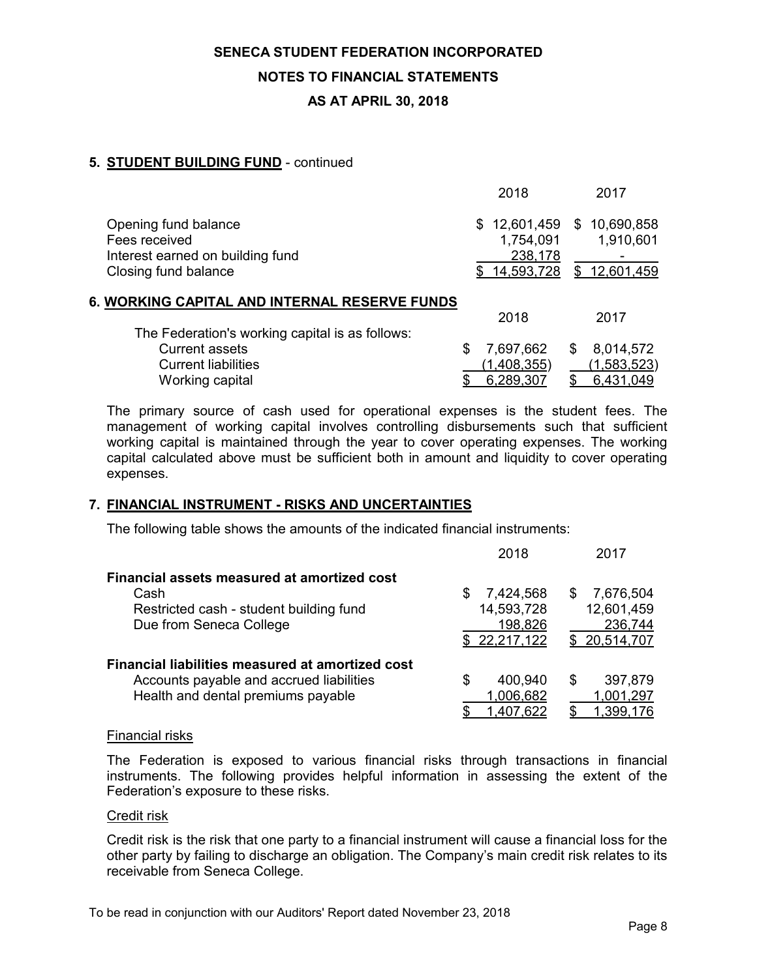# **NOTES TO FINANCIAL STATEMENTS**

# **AS AT APRIL 30, 2018**

# **5. STUDENT BUILDING FUND** - continued

|                                                                           |     | 2018                               |   | 2017                      |
|---------------------------------------------------------------------------|-----|------------------------------------|---|---------------------------|
| Opening fund balance<br>Fees received<br>Interest earned on building fund | \$. | 12,601,459<br>1,754,091<br>238,178 |   | \$10,690,858<br>1,910,601 |
| Closing fund balance                                                      |     | \$14,593,728                       |   | \$12,601,459              |
| 6. WORKING CAPITAL AND INTERNAL RESERVE FUNDS                             |     |                                    |   |                           |
|                                                                           |     | 2018                               |   | 2017                      |
| The Federation's working capital is as follows:                           |     |                                    |   |                           |
| <b>Current assets</b>                                                     | S   | 7,697,662                          | S | 8,014,572                 |
| <b>Current liabilities</b>                                                |     | (1,408,355)                        |   | (1,583,523)               |
| Working capital                                                           |     | 6,289,307                          |   | 6,431,049                 |

The primary source of cash used for operational expenses is the student fees. The management of working capital involves controlling disbursements such that sufficient working capital is maintained through the year to cover operating expenses. The working capital calculated above must be sufficient both in amount and liquidity to cover operating expenses.

# **7. FINANCIAL INSTRUMENT - RISKS AND UNCERTAINTIES**

The following table shows the amounts of the indicated financial instruments:

|                                                  | 2018             | 2017             |
|--------------------------------------------------|------------------|------------------|
| Financial assets measured at amortized cost      |                  |                  |
| Cash                                             | 7,424,568<br>\$. | 7,676,504<br>\$. |
| Restricted cash - student building fund          | 14,593,728       | 12,601,459       |
| Due from Seneca College                          | 198,826          | 236,744          |
|                                                  | \$22,217,122     | \$ 20,514,707    |
| Financial liabilities measured at amortized cost |                  |                  |
| Accounts payable and accrued liabilities         | 400,940<br>\$    | 397,879<br>S     |
| Health and dental premiums payable               | 1,006,682        | 1,001,297        |
|                                                  | 1,407,622        | 1,399,176        |

# Financial risks

The Federation is exposed to various financial risks through transactions in financial instruments. The following provides helpful information in assessing the extent of the Federation's exposure to these risks.

# Credit risk

Credit risk is the risk that one party to a financial instrument will cause a financial loss for the other party by failing to discharge an obligation. The Company's main credit risk relates to its receivable from Seneca College.